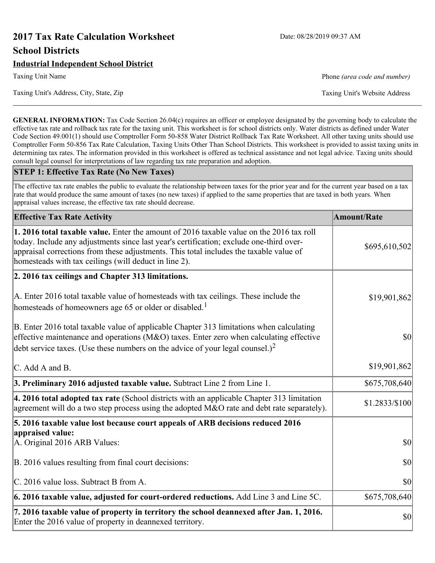# **2017 Tax Rate Calculation Worksheet** Date: 08/28/2019 09:37 AM **School Districts**

## **Industrial Independent School District**

Taxing Unit Name **Phone** *(area code and number)* Phone *(area code and number)* 

Taxing Unit's Address, City, State, Zip Taxing Unit's Website Address

**GENERAL INFORMATION:** Tax Code Section 26.04(c) requires an officer or employee designated by the governing body to calculate the effective tax rate and rollback tax rate for the taxing unit. This worksheet is for school districts only. Water districts as defined under Water Code Section 49.001(1) should use Comptroller Form 50-858 Water District Rollback Tax Rate Worksheet. All other taxing units should use Comptroller Form 50-856 Tax Rate Calculation, Taxing Units Other Than School Districts. This worksheet is provided to assist taxing units in determining tax rates. The information provided in this worksheet is offered as technical assistance and not legal advice. Taxing units should consult legal counsel for interpretations of law regarding tax rate preparation and adoption.

#### **STEP 1: Effective Tax Rate (No New Taxes)**

The effective tax rate enables the public to evaluate the relationship between taxes for the prior year and for the current year based on a tax rate that would produce the same amount of taxes (no new taxes) if applied to the same properties that are taxed in both years. When appraisal values increase, the effective tax rate should decrease.

| <b>Effective Tax Rate Activity</b>                                                                                                                                                                                                                                                                                                     | <b>Amount/Rate</b> |
|----------------------------------------------------------------------------------------------------------------------------------------------------------------------------------------------------------------------------------------------------------------------------------------------------------------------------------------|--------------------|
| 1. 2016 total taxable value. Enter the amount of 2016 taxable value on the 2016 tax roll<br>today. Include any adjustments since last year's certification; exclude one-third over-<br>appraisal corrections from these adjustments. This total includes the taxable value of<br>homesteads with tax ceilings (will deduct in line 2). | \$695,610,502      |
| 2. 2016 tax ceilings and Chapter 313 limitations.                                                                                                                                                                                                                                                                                      |                    |
| A. Enter 2016 total taxable value of homesteads with tax ceilings. These include the<br>homesteads of homeowners age 65 or older or disabled. <sup>1</sup>                                                                                                                                                                             | \$19,901,862       |
| B. Enter 2016 total taxable value of applicable Chapter 313 limitations when calculating<br>effective maintenance and operations ( $M&O$ ) taxes. Enter zero when calculating effective<br>debt service taxes. (Use these numbers on the advice of your legal counsel.) <sup>2</sup>                                                   | $ 10\rangle$       |
| C. Add A and B.                                                                                                                                                                                                                                                                                                                        | \$19,901,862       |
| 3. Preliminary 2016 adjusted taxable value. Subtract Line 2 from Line 1.                                                                                                                                                                                                                                                               | \$675,708,640      |
| 4. 2016 total adopted tax rate (School districts with an applicable Chapter 313 limitation<br>agreement will do a two step process using the adopted M&O rate and debt rate separately).                                                                                                                                               | \$1.2833/\$100     |
| 5. 2016 taxable value lost because court appeals of ARB decisions reduced 2016                                                                                                                                                                                                                                                         |                    |
| appraised value:<br>A. Original 2016 ARB Values:                                                                                                                                                                                                                                                                                       | $ 10\rangle$       |
| B. 2016 values resulting from final court decisions:                                                                                                                                                                                                                                                                                   | \$0                |
| C. 2016 value loss. Subtract B from A.                                                                                                                                                                                                                                                                                                 | 30                 |
| 6. 2016 taxable value, adjusted for court-ordered reductions. Add Line 3 and Line 5C.                                                                                                                                                                                                                                                  | \$675,708,640      |
| 7. 2016 taxable value of property in territory the school deannexed after Jan. 1, 2016.<br>Enter the 2016 value of property in deannexed territory.                                                                                                                                                                                    | \$0                |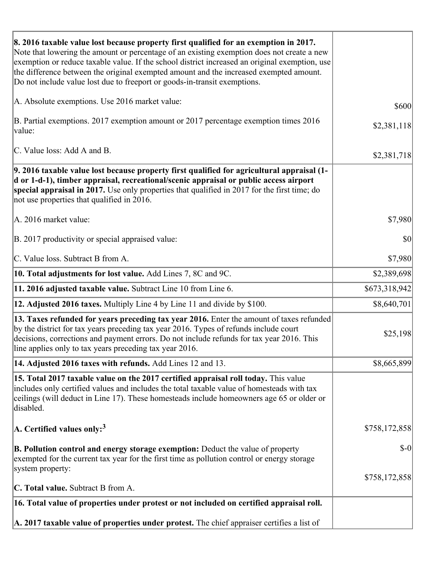| 8. 2016 taxable value lost because property first qualified for an exemption in 2017.<br>Note that lowering the amount or percentage of an existing exemption does not create a new<br>exemption or reduce taxable value. If the school district increased an original exemption, use<br>the difference between the original exempted amount and the increased exempted amount.<br>Do not include value lost due to freeport or goods-in-transit exemptions. |               |
|--------------------------------------------------------------------------------------------------------------------------------------------------------------------------------------------------------------------------------------------------------------------------------------------------------------------------------------------------------------------------------------------------------------------------------------------------------------|---------------|
| A. Absolute exemptions. Use 2016 market value:                                                                                                                                                                                                                                                                                                                                                                                                               | \$600         |
| B. Partial exemptions. 2017 exemption amount or 2017 percentage exemption times 2016<br>value:                                                                                                                                                                                                                                                                                                                                                               | \$2,381,118   |
| C. Value loss: Add A and B.                                                                                                                                                                                                                                                                                                                                                                                                                                  | \$2,381,718   |
| 9. 2016 taxable value lost because property first qualified for agricultural appraisal (1-<br>d or 1-d-1), timber appraisal, recreational/scenic appraisal or public access airport<br>special appraisal in 2017. Use only properties that qualified in 2017 for the first time; do<br>not use properties that qualified in 2016.                                                                                                                            |               |
| A. 2016 market value:                                                                                                                                                                                                                                                                                                                                                                                                                                        | \$7,980       |
| B. 2017 productivity or special appraised value:                                                                                                                                                                                                                                                                                                                                                                                                             | \$0           |
| C. Value loss. Subtract B from A.                                                                                                                                                                                                                                                                                                                                                                                                                            | \$7,980       |
| 10. Total adjustments for lost value. Add Lines 7, 8C and 9C.                                                                                                                                                                                                                                                                                                                                                                                                | \$2,389,698   |
| 11. 2016 adjusted taxable value. Subtract Line 10 from Line 6.                                                                                                                                                                                                                                                                                                                                                                                               | \$673,318,942 |
| <b>12. Adjusted 2016 taxes.</b> Multiply Line 4 by Line 11 and divide by \$100.                                                                                                                                                                                                                                                                                                                                                                              | \$8,640,701   |
| 13. Taxes refunded for years preceding tax year 2016. Enter the amount of taxes refunded<br>by the district for tax years preceding tax year 2016. Types of refunds include court<br>decisions, corrections and payment errors. Do not include refunds for tax year 2016. This<br>line applies only to tax years preceding tax year 2016.                                                                                                                    | \$25,198      |
| 14. Adjusted 2016 taxes with refunds. Add Lines 12 and 13.                                                                                                                                                                                                                                                                                                                                                                                                   | \$8,665,899   |
| 15. Total 2017 taxable value on the 2017 certified appraisal roll today. This value<br>includes only certified values and includes the total taxable value of homesteads with tax<br>ceilings (will deduct in Line 17). These homesteads include homeowners age 65 or older or<br>disabled.                                                                                                                                                                  |               |
| A. Certified values only: <sup>3</sup>                                                                                                                                                                                                                                                                                                                                                                                                                       | \$758,172,858 |
| <b>B. Pollution control and energy storage exemption:</b> Deduct the value of property<br>exempted for the current tax year for the first time as pollution control or energy storage<br>system property:                                                                                                                                                                                                                                                    | $\delta$ -0   |
|                                                                                                                                                                                                                                                                                                                                                                                                                                                              | \$758,172,858 |
| <b>C. Total value.</b> Subtract B from A.                                                                                                                                                                                                                                                                                                                                                                                                                    |               |
| 16. Total value of properties under protest or not included on certified appraisal roll.                                                                                                                                                                                                                                                                                                                                                                     |               |
| A. 2017 taxable value of properties under protest. The chief appraiser certifies a list of                                                                                                                                                                                                                                                                                                                                                                   |               |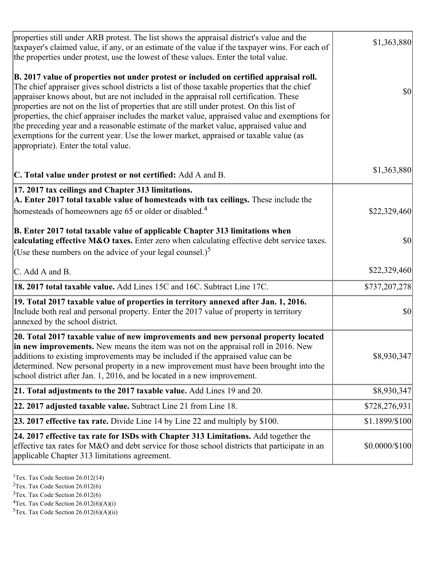| properties still under ARB protest. The list shows the appraisal district's value and the<br>taxpayer's claimed value, if any, or an estimate of the value if the taxpayer wins. For each of<br>the properties under protest, use the lowest of these values. Enter the total value.                                                                                                                                                                                                                                                                                                                                                                                                                      | \$1,363,880    |
|-----------------------------------------------------------------------------------------------------------------------------------------------------------------------------------------------------------------------------------------------------------------------------------------------------------------------------------------------------------------------------------------------------------------------------------------------------------------------------------------------------------------------------------------------------------------------------------------------------------------------------------------------------------------------------------------------------------|----------------|
| B. 2017 value of properties not under protest or included on certified appraisal roll.<br>The chief appraiser gives school districts a list of those taxable properties that the chief<br>appraiser knows about, but are not included in the appraisal roll certification. These<br>properties are not on the list of properties that are still under protest. On this list of<br>properties, the chief appraiser includes the market value, appraised value and exemptions for<br>the preceding year and a reasonable estimate of the market value, appraised value and<br>exemptions for the current year. Use the lower market, appraised or taxable value (as<br>appropriate). Enter the total value. | <b>\$0</b>     |
| C. Total value under protest or not certified: Add A and B.                                                                                                                                                                                                                                                                                                                                                                                                                                                                                                                                                                                                                                               | \$1,363,880    |
| 17. 2017 tax ceilings and Chapter 313 limitations.<br>A. Enter 2017 total taxable value of homesteads with tax ceilings. These include the<br>homesteads of homeowners age 65 or older or disabled. <sup>4</sup>                                                                                                                                                                                                                                                                                                                                                                                                                                                                                          | \$22,329,460   |
| B. Enter 2017 total taxable value of applicable Chapter 313 limitations when<br>calculating effective M&O taxes. Enter zero when calculating effective debt service taxes.<br>(Use these numbers on the advice of your legal counsel.) <sup>5</sup>                                                                                                                                                                                                                                                                                                                                                                                                                                                       | $ 10\rangle$   |
| C. Add A and B.                                                                                                                                                                                                                                                                                                                                                                                                                                                                                                                                                                                                                                                                                           | \$22,329,460   |
| 18. 2017 total taxable value. Add Lines 15C and 16C. Subtract Line 17C.                                                                                                                                                                                                                                                                                                                                                                                                                                                                                                                                                                                                                                   | \$737,207,278  |
| 19. Total 2017 taxable value of properties in territory annexed after Jan. 1, 2016.<br>Include both real and personal property. Enter the 2017 value of property in territory<br>annexed by the school district.                                                                                                                                                                                                                                                                                                                                                                                                                                                                                          | \$0            |
| 20. Total 2017 taxable value of new improvements and new personal property located<br>in new improvements. New means the item was not on the appraisal roll in 2016. New<br>additions to existing improvements may be included if the appraised value can be<br>determined. New personal property in a new improvement must have been brought into the<br>school district after Jan. 1, 2016, and be located in a new improvement.                                                                                                                                                                                                                                                                        | \$8,930,347    |
| 21. Total adjustments to the 2017 taxable value. Add Lines 19 and 20.                                                                                                                                                                                                                                                                                                                                                                                                                                                                                                                                                                                                                                     | \$8,930,347    |
| $ 22.2017$ adjusted taxable value. Subtract Line 21 from Line 18.                                                                                                                                                                                                                                                                                                                                                                                                                                                                                                                                                                                                                                         | \$728,276,931  |
| <b>23. 2017 effective tax rate.</b> Divide Line 14 by Line 22 and multiply by \$100.                                                                                                                                                                                                                                                                                                                                                                                                                                                                                                                                                                                                                      | \$1.1899/\$100 |
| 24. 2017 effective tax rate for ISDs with Chapter 313 Limitations. Add together the<br>effective tax rates for M&O and debt service for those school districts that participate in an<br>applicable Chapter 313 limitations agreement.                                                                                                                                                                                                                                                                                                                                                                                                                                                                    | \$0.0000/\$100 |
|                                                                                                                                                                                                                                                                                                                                                                                                                                                                                                                                                                                                                                                                                                           |                |

<sup>&</sup>lt;sup>1</sup>Tex. Tax Code Section  $26.012(14)$ 

<sup>&</sup>lt;sup>2</sup>Tex. Tax Code Section 26.012(6)

 $3$ Tex. Tax Code Section 26.012(6)

 ${}^{4}$ Tex. Tax Code Section 26.012(6)(A)(i)

 ${}^{5}$ Tex. Tax Code Section 26.012(6)(A)(ii)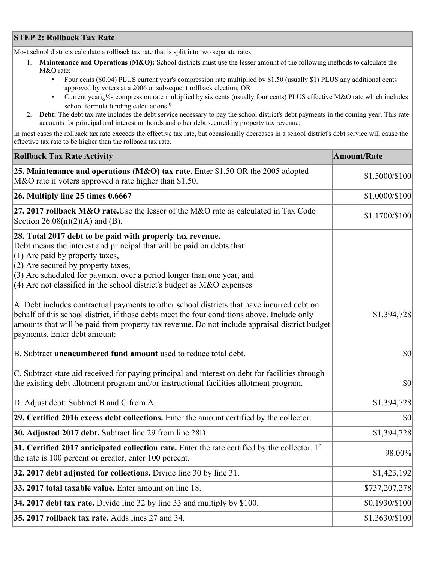## **STEP 2: Rollback Tax Rate**

Most school districts calculate a rollback tax rate that is split into two separate rates:

- 1. **Maintenance and Operations (M&O):** School districts must use the lesser amount of the following methods to calculate the M&O rate:
	- Four cents (\$0.04) PLUS current year's compression rate multiplied by \$1.50 (usually \$1) PLUS any additional cents approved by voters at a 2006 or subsequent rollback election; OR
	- Current year $i/\frac{1}{2}$ s compression rate multiplied by six cents (usually four cents) PLUS effective M&O rate which includes school formula funding calculations.<sup>6</sup>
- 2. **Debt:** The debt tax rate includes the debt service necessary to pay the school district's debt payments in the coming year. This rate accounts for principal and interest on bonds and other debt secured by property tax revenue.

In most cases the rollback tax rate exceeds the effective tax rate, but occasionally decreases in a school district's debt service will cause the effective tax rate to be higher than the rollback tax rate.

| <b>Rollback Tax Rate Activity</b>                                                                                                                                                                                                                                                                                                                                       | <b>Amount/Rate</b> |
|-------------------------------------------------------------------------------------------------------------------------------------------------------------------------------------------------------------------------------------------------------------------------------------------------------------------------------------------------------------------------|--------------------|
| 25. Maintenance and operations (M&O) tax rate. Enter \$1.50 OR the 2005 adopted<br>M&O rate if voters approved a rate higher than \$1.50.                                                                                                                                                                                                                               | \$1.5000/\$100     |
| $26.$ Multiply line 25 times $0.6667$                                                                                                                                                                                                                                                                                                                                   | \$1.0000/\$100     |
| 27. 2017 rollback M&O rate. Use the lesser of the M&O rate as calculated in Tax Code<br>Section 26.08(n)(2)(A) and (B).                                                                                                                                                                                                                                                 | \$1.1700/\$100     |
| 28. Total 2017 debt to be paid with property tax revenue.<br>Debt means the interest and principal that will be paid on debts that:<br>$(1)$ Are paid by property taxes,<br>$(2)$ Are secured by property taxes,<br>$(3)$ Are scheduled for payment over a period longer than one year, and<br>$(4)$ Are not classified in the school district's budget as M&O expenses |                    |
| A. Debt includes contractual payments to other school districts that have incurred debt on<br>behalf of this school district, if those debts meet the four conditions above. Include only<br>amounts that will be paid from property tax revenue. Do not include appraisal district budget<br>payments. Enter debt amount:                                              | \$1,394,728        |
| B. Subtract unencumbered fund amount used to reduce total debt.                                                                                                                                                                                                                                                                                                         | $ 10\rangle$       |
| C. Subtract state aid received for paying principal and interest on debt for facilities through<br>the existing debt allotment program and/or instructional facilities allotment program.                                                                                                                                                                               | $ 10\rangle$       |
| D. Adjust debt: Subtract B and C from A.                                                                                                                                                                                                                                                                                                                                | \$1,394,728        |
| 29. Certified 2016 excess debt collections. Enter the amount certified by the collector.                                                                                                                                                                                                                                                                                | $ 10\rangle$       |
| <b>30. Adjusted 2017 debt.</b> Subtract line 29 from line 28D.                                                                                                                                                                                                                                                                                                          | \$1,394,728        |
| 31. Certified 2017 anticipated collection rate. Enter the rate certified by the collector. If<br>the rate is 100 percent or greater, enter 100 percent.                                                                                                                                                                                                                 | 98.00%             |
| 32. 2017 debt adjusted for collections. Divide line 30 by line 31.                                                                                                                                                                                                                                                                                                      | \$1,423,192        |
| 33. 2017 total taxable value. Enter amount on line 18.                                                                                                                                                                                                                                                                                                                  | \$737,207,278      |
| 34. 2017 debt tax rate. Divide line 32 by line 33 and multiply by $$100$ .                                                                                                                                                                                                                                                                                              | \$0.1930/\$100     |
| 35. 2017 rollback tax rate. Adds lines 27 and 34.                                                                                                                                                                                                                                                                                                                       | $$1.3630/\$100$    |